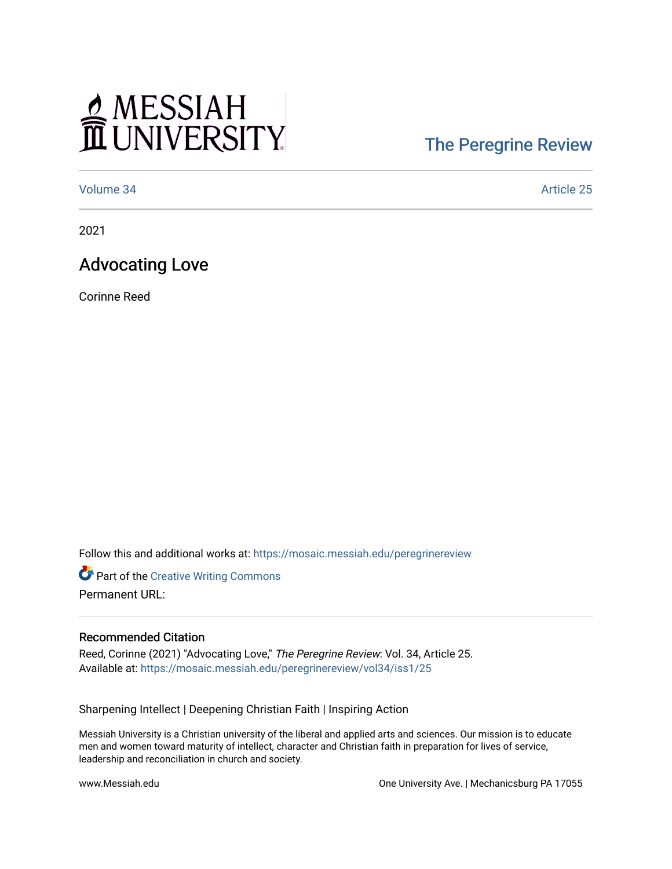# MESSIAH

## [The Peregrine Review](https://mosaic.messiah.edu/peregrinereview)

[Volume 34](https://mosaic.messiah.edu/peregrinereview/vol34) Article 25

2021

### Advocating Love

Corinne Reed

Follow this and additional works at: [https://mosaic.messiah.edu/peregrinereview](https://mosaic.messiah.edu/peregrinereview?utm_source=mosaic.messiah.edu%2Fperegrinereview%2Fvol34%2Fiss1%2F25&utm_medium=PDF&utm_campaign=PDFCoverPages) 

**Part of the Creative Writing Commons** Permanent URL:

#### Recommended Citation

Reed, Corinne (2021) "Advocating Love," The Peregrine Review: Vol. 34, Article 25. Available at: [https://mosaic.messiah.edu/peregrinereview/vol34/iss1/25](https://mosaic.messiah.edu/peregrinereview/vol34/iss1/25?utm_source=mosaic.messiah.edu%2Fperegrinereview%2Fvol34%2Fiss1%2F25&utm_medium=PDF&utm_campaign=PDFCoverPages)

Sharpening Intellect | Deepening Christian Faith | Inspiring Action

Messiah University is a Christian university of the liberal and applied arts and sciences. Our mission is to educate men and women toward maturity of intellect, character and Christian faith in preparation for lives of service, leadership and reconciliation in church and society.

www.Messiah.edu **One University Ave. | Mechanicsburg PA 17055**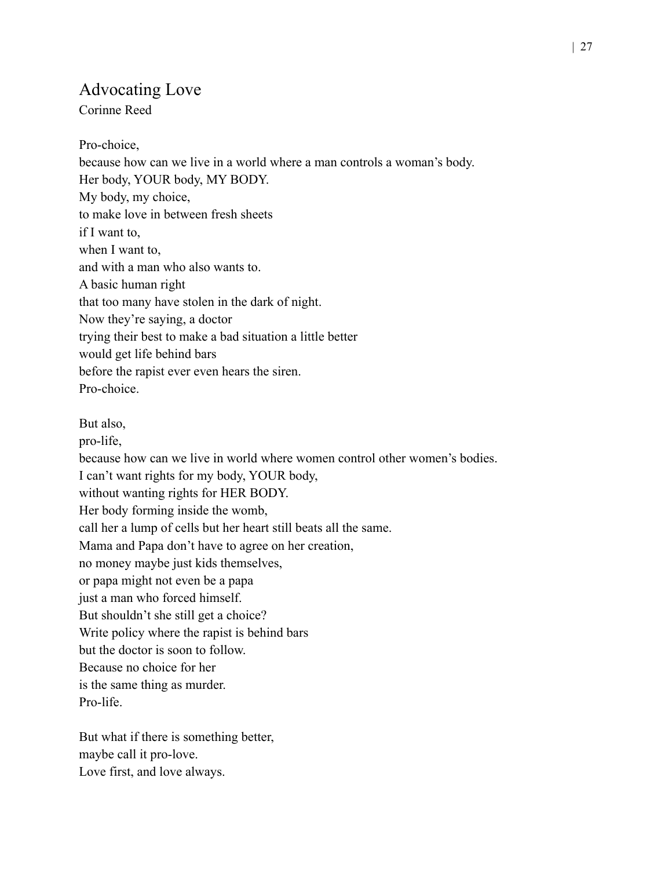#### Advocating Love

Corinne Reed

Pro-choice, because how can we live in a world where a man controls a woman's body. Her body, YOUR body, MY BODY. My body, my choice, to make love in between fresh sheets if I want to, when I want to, and with a man who also wants to. A basic human right that too many have stolen in the dark of night. Now they're saying, a doctor trying their best to make a bad situation a little better would get life behind bars before the rapist ever even hears the siren. Pro-choice. But also, pro-life, because how can we live in world where women control other women's bodies. I can't want rights for my body, YOUR body, without wanting rights for HER BODY. Her body forming inside the womb, call her a lump of cells but her heart still beats all the same. Mama and Papa don't have to agree on her creation, no money maybe just kids themselves, or papa might not even be a papa just a man who forced himself. But shouldn't she still get a choice? Write policy where the rapist is behind bars but the doctor is soon to follow. Because no choice for her is the same thing as murder. Pro-life.

But what if there is something better, maybe call it pro-love. Love first, and love always.